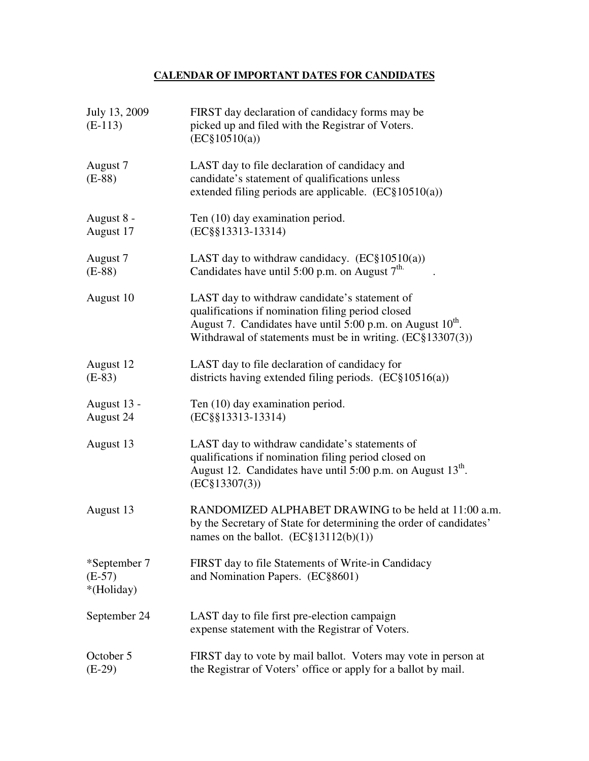## **CALENDAR OF IMPORTANT DATES FOR CANDIDATES**

| July 13, 2009<br>$(E-113)$             | FIRST day declaration of candidacy forms may be<br>picked up and filed with the Registrar of Voters.<br>$(EC\$ 10510(a))                                                                                                                        |
|----------------------------------------|-------------------------------------------------------------------------------------------------------------------------------------------------------------------------------------------------------------------------------------------------|
| August 7<br>$(E-88)$                   | LAST day to file declaration of candidacy and<br>candidate's statement of qualifications unless<br>extended filing periods are applicable. $(EC§10510(a))$                                                                                      |
| August 8 -<br>August 17                | Ten (10) day examination period.<br>(EC§§13313-13314)                                                                                                                                                                                           |
| August 7<br>$(E-88)$                   | LAST day to withdraw candidacy. $(EC\S 10510(a))$<br>Candidates have until 5:00 p.m. on August 7 <sup>th.</sup>                                                                                                                                 |
| August 10                              | LAST day to withdraw candidate's statement of<br>qualifications if nomination filing period closed<br>August 7. Candidates have until 5:00 p.m. on August 10 <sup>th</sup> .<br>Withdrawal of statements must be in writing. $(EC\$ $13307(3))$ |
| August 12<br>$(E-83)$                  | LAST day to file declaration of candidacy for<br>districts having extended filing periods. $(EC\$ $10516(a))$                                                                                                                                   |
| August 13 -<br>August 24               | Ten (10) day examination period.<br>(EC§§13313-13314)                                                                                                                                                                                           |
| August 13                              | LAST day to withdraw candidate's statements of<br>qualifications if nomination filing period closed on<br>August 12. Candidates have until 5:00 p.m. on August 13 <sup>th</sup> .<br>(EC§13307(3))                                              |
| August 13                              | RANDOMIZED ALPHABET DRAWING to be held at 11:00 a.m.<br>by the Secretary of State for determining the order of candidates'<br>names on the ballot. $(EC§13112(b)(1))$                                                                           |
| *September 7<br>$(E-57)$<br>*(Holiday) | FIRST day to file Statements of Write-in Candidacy<br>and Nomination Papers. (EC§8601)                                                                                                                                                          |
| September 24                           | LAST day to file first pre-election campaign<br>expense statement with the Registrar of Voters.                                                                                                                                                 |
| October 5<br>$(E-29)$                  | FIRST day to vote by mail ballot. Voters may vote in person at<br>the Registrar of Voters' office or apply for a ballot by mail.                                                                                                                |